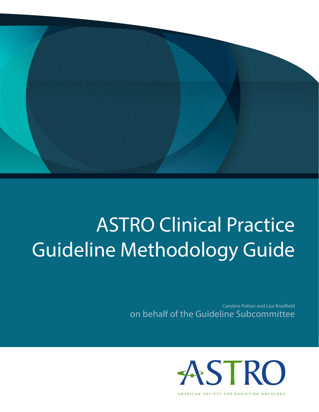

# ASTRO Clinical Practice Guideline Methodology Guide

Caroline Patton and Lisa Bradfield on behalf of the Guideline Subcommittee



AMERICAN SOCIETY FOR RADIATION ONCOLOGY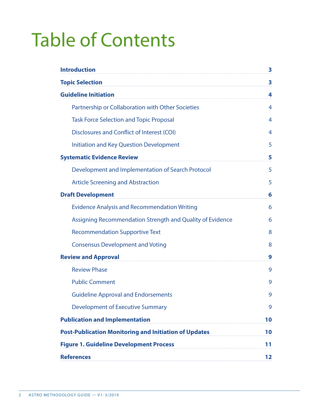# Table of Contents

| <b>Introduction</b>                                          | 3  |
|--------------------------------------------------------------|----|
| <b>Topic Selection</b>                                       | 3  |
| <b>Guideline Initiation</b>                                  | 4  |
| Partnership or Collaboration with Other Societies            | 4  |
| <b>Task Force Selection and Topic Proposal</b>               | 4  |
| Disclosures and Conflict of Interest (COI)                   | 4  |
| <b>Initiation and Key Question Development</b>               | 5  |
| <b>Systematic Evidence Review</b>                            | 5  |
| Development and Implementation of Search Protocol            | 5  |
| <b>Article Screening and Abstraction</b>                     | 5  |
| <b>Draft Development</b>                                     | 6  |
| <b>Evidence Analysis and Recommendation Writing</b>          | 6  |
| Assigning Recommendation Strength and Quality of Evidence    | 6  |
| <b>Recommendation Supportive Text</b>                        | 8  |
| <b>Consensus Development and Voting</b>                      | 8  |
| <b>Review and Approval</b>                                   | 9  |
| <b>Review Phase</b>                                          | 9  |
| <b>Public Comment</b>                                        | 9  |
| <b>Guideline Approval and Endorsements</b>                   | 9  |
| <b>Development of Executive Summary</b>                      | 9  |
| <b>Publication and Implementation</b>                        | 10 |
| <b>Post-Publication Monitoring and Initiation of Updates</b> |    |
| <b>Figure 1. Guideline Development Process</b>               |    |
| <b>References</b>                                            | 12 |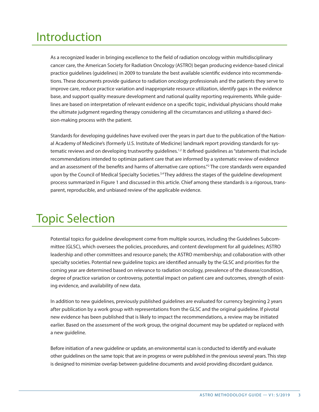# Introduction

As a recognized leader in bringing excellence to the field of radiation oncology within multidisciplinary cancer care, the American Society for Radiation Oncology (ASTRO) began producing evidence-based clinical practice guidelines (guidelines) in 2009 to translate the best available scientific evidence into recommendations. These documents provide guidance to radiation oncology professionals and the patients they serve to improve care, reduce practice variation and inappropriate resource utilization, identify gaps in the evidence base, and support quality measure development and national quality reporting requirements. While guidelines are based on interpretation of relevant evidence on a specific topic, individual physicians should make the ultimate judgment regarding therapy considering all the circumstances and utilizing a shared decision-making process with the patient.

Standards for developing guidelines have evolved over the years in part due to the publication of the National Academy of Medicine's (formerly U.S. Institute of Medicine) landmark report providing standards for systematic reviews and on developing trustworthy guidelines.<sup>1,2</sup> It defined guidelines as "statements that include recommendations intended to optimize patient care that are informed by a systematic review of evidence and an assessment of the benefits and harms of alternative care options."2 The core standards were expanded upon by the Council of Medical Specialty Societies.<sup>3,4</sup> They address the stages of the guideline development process summarized in Figure 1 and discussed in this article. Chief among these standards is a rigorous, transparent, reproducible, and unbiased review of the applicable evidence.

# Topic Selection

Potential topics for guideline development come from multiple sources, including the Guidelines Subcommittee (GLSC), which oversees the policies, procedures, and content development for all guidelines; ASTRO leadership and other committees and resource panels; the ASTRO membership; and collaboration with other specialty societies. Potential new guideline topics are identified annually by the GLSC and priorities for the coming year are determined based on relevance to radiation oncology, prevalence of the disease/condition, degree of practice variation or controversy, potential impact on patient care and outcomes, strength of existing evidence, and availability of new data.

In addition to new guidelines, previously published guidelines are evaluated for currency beginning 2 years after publication by a work group with representations from the GLSC and the original guideline. If pivotal new evidence has been published that is likely to impact the recommendations, a review may be initiated earlier. Based on the assessment of the work group, the original document may be updated or replaced with a new guideline.

Before initiation of a new guideline or update, an environmental scan is conducted to identify and evaluate other guidelines on the same topic that are in progress or were published in the previous several years. This step is designed to minimize overlap between guideline documents and avoid providing discordant guidance.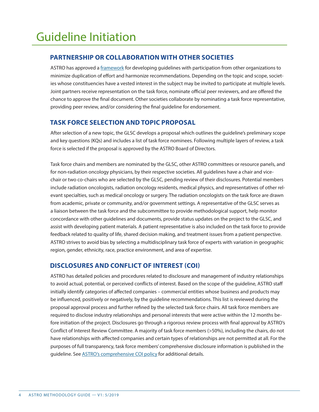# **PARTNERSHIP OR COLLABORATION WITH OTHER SOCIETIES**

ASTRO has approved a *framework* for developing guidelines with participation from other organizations to minimize duplication of effort and harmonize recommendations. Depending on the topic and scope, societies whose constituencies have a vested interest in the subject may be invited to participate at multiple levels. Joint partners receive representation on the task force, nominate official peer reviewers, and are offered the chance to approve the final document. Other societies collaborate by nominating a task force representative, providing peer review, and/or considering the final guideline for endorsement.

# **TASK FORCE SELECTION AND TOPIC PROPOSAL**

After selection of a new topic, the GLSC develops a proposal which outlines the guideline's preliminary scope and key questions (KQs) and includes a list of task force nominees. Following multiple layers of review, a task force is selected if the proposal is approved by the ASTRO Board of Directors.

Task force chairs and members are nominated by the GLSC, other ASTRO committees or resource panels, and for non-radiation oncology physicians, by their respective societies. All guidelines have a chair and vicechair or two co-chairs who are selected by the GLSC, pending review of their disclosures. Potential members include radiation oncologists, radiation oncology residents, medical physics, and representatives of other relevant specialties, such as medical oncology or surgery. The radiation oncologists on the task force are drawn from academic, private or community, and/or government settings. A representative of the GLSC serves as a liaison between the task force and the subcommittee to provide methodological support, help monitor concordance with other guidelines and documents, provide status updates on the project to the GLSC, and assist with developing patient materials. A patient representative is also included on the task force to provide feedback related to quality of life, shared decision making, and treatment issues from a patient perspective. ASTRO strives to avoid bias by selecting a multidisciplinary task force of experts with variation in geographic region, gender, ethnicity, race, practice environment, and area of expertise.

# **DISCLOSURES AND CONFLICT OF INTEREST (COI)**

ASTRO has detailed policies and procedures related to disclosure and management of industry relationships to avoid actual, potential, or perceived conflicts of interest. Based on the scope of the guideline, ASTRO staff initially identify categories of affected companies – commercial entities whose business and products may be influenced, positively or negatively, by the guideline recommendations. This list is reviewed during the proposal approval process and further refined by the selected task force chairs. All task force members are required to disclose industry relationships and personal interests that were active within the 12 months before initiation of the project. Disclosures go through a rigorous review process with final approval by ASTRO's Conflict of Interest Review Committee. A majority of task force members (>50%), including the chairs, do not have relationships with affected companies and certain types of relationships are not permitted at all. For the purposes of full transparency, task force members' comprehensive disclosure information is published in the guideline. See [ASTRO's comprehensive COI policy](https://www.astro.org/Patient-Care-and-Research/Clinical-Practice-Statements/Conflict-of-Interest-for-Formal-Papers) for additional details.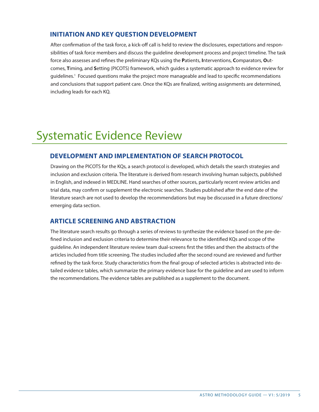# **INITIATION AND KEY QUESTION DEVELOPMENT**

After confirmation of the task force, a kick-off call is held to review the disclosures, expectations and responsibilities of task force members and discuss the guideline development process and project timeline. The task force also assesses and refines the preliminary KQs using the **P**atients, **I**nterventions, **C**omparators, **O**utcomes, **T**iming, and **S**etting (PICOTS) framework, which guides a systematic approach to evidence review for guidelines.<sup>1</sup> Focused questions make the project more manageable and lead to specific recommendations and conclusions that support patient care. Once the KQs are finalized, writing assignments are determined, including leads for each KQ.

# Systematic Evidence Review

### **DEVELOPMENT AND IMPLEMENTATION OF SEARCH PROTOCOL**

Drawing on the PICOTS for the KQs, a search protocol is developed, which details the search strategies and inclusion and exclusion criteria. The literature is derived from research involving human subjects, published in English, and indexed in MEDLINE. Hand searches of other sources, particularly recent review articles and trial data, may confirm or supplement the electronic searches. Studies published after the end date of the literature search are not used to develop the recommendations but may be discussed in a future directions/ emerging data section.

## **ARTICLE SCREENING AND ABSTRACTION**

The literature search results go through a series of reviews to synthesize the evidence based on the pre-defined inclusion and exclusion criteria to determine their relevance to the identified KQs and scope of the guideline. An independent literature review team dual-screens first the titles and then the abstracts of the articles included from title screening. The studies included after the second round are reviewed and further refined by the task force. Study characteristics from the final group of selected articles is abstracted into detailed evidence tables, which summarize the primary evidence base for the guideline and are used to inform the recommendations. The evidence tables are published as a supplement to the document.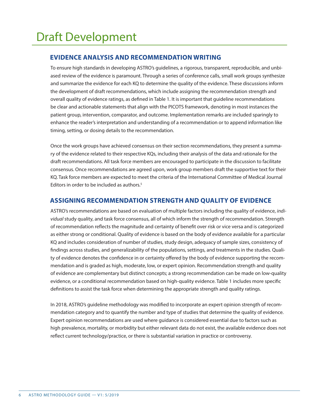# **EVIDENCE ANALYSIS AND RECOMMENDATION WRITING**

To ensure high standards in developing ASTRO's guidelines, a rigorous, transparent, reproducible, and unbiased review of the evidence is paramount. Through a series of conference calls, small work groups synthesize and summarize the evidence for each KQ to determine the quality of the evidence. These discussions inform the development of draft recommendations, which include assigning the recommendation strength and overall quality of evidence ratings, as defined in Table 1. It is important that guideline recommendations be clear and actionable statements that align with the PICOTS framework, denoting in most instances the patient group, intervention, comparator, and outcome. Implementation remarks are included sparingly to enhance the reader's interpretation and understanding of a recommendation or to append information like timing, setting, or dosing details to the recommendation.

Once the work groups have achieved consensus on their section recommendations, they present a summary of the evidence related to their respective KQs, including their analysis of the data and rationale for the draft recommendations. All task force members are encouraged to participate in the discussion to facilitate consensus. Once recommendations are agreed upon, work group members draft the supportive text for their KQ. Task force members are expected to meet the criteria of the International Committee of Medical Journal Editors in order to be included as authors.<sup>5</sup>

# **ASSIGNING RECOMMENDATION STRENGTH AND QUALITY OF EVIDENCE**

ASTRO's recommendations are based on evaluation of multiple factors including the quality of evidence, *individual* study quality, and task force consensus, all of which inform the strength of recommendation. Strength of recommendation reflects the magnitude and certainty of benefit over risk or vice versa and is categorized as either strong or conditional. Quality of evidence is based on the body of evidence available for a particular KQ and includes consideration of number of studies, study design, adequacy of sample sizes, consistency of findings across studies, and generalizability of the populations, settings, and treatments in the studies. Quality of evidence denotes the confidence in or certainty offered by the body of evidence supporting the recommendation and is graded as high, moderate, low, or expert opinion. Recommendation strength and quality of evidence are complementary but distinct concepts; a strong recommendation can be made on low-quality evidence, or a conditional recommendation based on high-quality evidence. Table 1 includes more specific definitions to assist the task force when determining the appropriate strength and quality ratings.

In 2018, ASTRO's guideline methodology was modified to incorporate an expert opinion strength of recommendation category and to quantify the number and type of studies that determine the quality of evidence. Expert opinion recommendations are used where guidance is considered essential due to factors such as high prevalence, mortality, or morbidity but either relevant data do not exist, the available evidence does not reflect current technology/practice, or there is substantial variation in practice or controversy.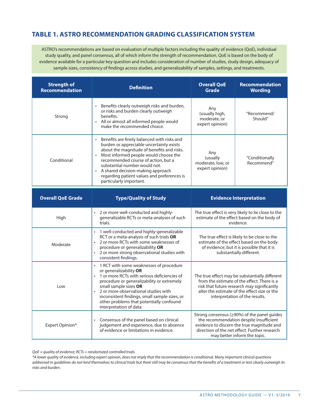# **TABLE 1. ASTRO RECOMMENDATION GRADING CLASSIFICATION SYSTEM**

ASTRO's recommendations are based on evaluation of multiple factors including the quality of evidence (QoE), individual study quality, and panel consensus, all of which inform the strength of recommendation. QoE is based on the body of evidence available for a particular key question and includes consideration of number of studies, study design, adequacy of sample sizes, consistency of findings across studies, and generalizability of samples, settings, and treatments.

| <b>Strength of</b><br>Recommendation | <b>Definition</b>                                                                                                                                                                                                                                                                                                                                                     | <b>Overall QoE</b><br>Grade                              | <b>Recommendation</b><br><b>Wording</b> |
|--------------------------------------|-----------------------------------------------------------------------------------------------------------------------------------------------------------------------------------------------------------------------------------------------------------------------------------------------------------------------------------------------------------------------|----------------------------------------------------------|-----------------------------------------|
| Strong                               | Benefits clearly outweigh risks and burden,<br>or risks and burden clearly outweigh<br>henefits.<br>All or almost all informed people would<br>make the recommended choice.                                                                                                                                                                                           | Any<br>(usually high,<br>moderate, or<br>expert opinion) | "Recommend/<br>Should"                  |
| Conditional                          | Benefits are finely balanced with risks and<br>burden or appreciable uncertainty exists<br>about the magnitude of benefits and risks.<br>Most informed people would choose the<br>recommended course of action, but a<br>substantial number would not.<br>A shared decision-making approach<br>regarding patient values and preferences is<br>particularly important. | Any<br>(usually<br>moderate, low, or<br>expert opinion)  | "Conditionally<br>Recommend"            |

| <b>Overall QoE Grade</b> | <b>Type/Quality of Study</b>                                                                                                                                                                                                                                                                                                                                                                   | <b>Evidence Interpretation</b>                                                                                                                                                                                                 |
|--------------------------|------------------------------------------------------------------------------------------------------------------------------------------------------------------------------------------------------------------------------------------------------------------------------------------------------------------------------------------------------------------------------------------------|--------------------------------------------------------------------------------------------------------------------------------------------------------------------------------------------------------------------------------|
| High                     | 2 or more well-conducted and highly-<br>$\bullet$<br>generalizable RCTs or meta-analyses of such<br>trials.                                                                                                                                                                                                                                                                                    | The true effect is very likely to lie close to the<br>estimate of the effect based on the body of<br>evidence.                                                                                                                 |
| Moderate                 | 1 well-conducted and highly-generalizable<br>$\bullet$<br>RCT or a meta-analysis of such trials OR<br>2 or more RCTs with some weaknesses of<br>procedure or generalizability <b>OR</b><br>2 or more strong observational studies with<br>consistent findings.                                                                                                                                 | The true effect is likely to be close to the<br>estimate of the effect based on the body<br>of evidence, but it is possible that it is<br>substantially different.                                                             |
| Low                      | 1 RCT with some weaknesses of procedure<br>$\bullet$<br>or generalizability OR<br>1 or more RCTs with serious deficiencies of<br>$\bullet$<br>procedure or generalizability or extremely<br>small sample sizes OR<br>2 or more observational studies with<br>$\bullet$<br>inconsistent findings, small sample sizes, or<br>other problems that potentially confound<br>interpretation of data. | The true effect may be substantially different<br>from the estimate of the effect. There is a<br>risk that future research may significantly<br>alter the estimate of the effect size or the<br>interpretation of the results. |
| Expert Opinion*          | Consensus of the panel based on clinical<br>$\bullet$<br>judgement and experience, due to absence<br>of evidence or limitations in evidence.                                                                                                                                                                                                                                                   | Strong consensus ( $\geq$ 90%) of the panel guides<br>the recommendation despite insufficient<br>evidence to discern the true magnitude and<br>direction of the net effect. Further research<br>may better inform the topic.   |

*QoE = quality of evidence; RCTs = randomized controlled trials.* 

*\*A lower quality of evidence, including expert opinion, does not imply that the recommendation is conditional. Many important clinical questions addressed in guidelines do not lend themselves to clinical trials but there still may be consensus that the benefits of a treatment or test clearly outweigh its risks and burden.*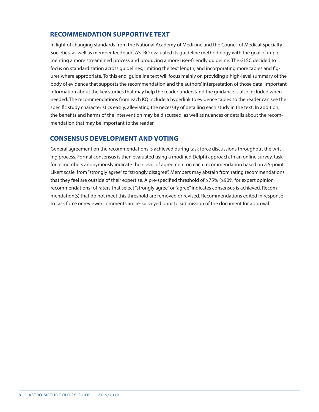# **RECOMMENDATION SUPPORTIVE TEXT**

In light of changing standards from the National Academy of Medicine and the Council of Medical Specialty Societies, as well as member feedback, ASTRO evaluated its guideline methodology with the goal of implementing a more streamlined process and producing a more user-friendly guideline. The GLSC decided to focus on standardization across guidelines, limiting the text length, and incorporating more tables and figures where appropriate. To this end, guideline text will focus mainly on providing a high-level summary of the body of evidence that supports the recommendation and the authors' interpretation of those data. Important information about the key studies that may help the reader understand the guidance is also included when needed. The recommendations from each KQ include a hyperlink to evidence tables so the reader can see the specific study characteristics easily, alleviating the necessity of detailing each study in the text. In addition, the benefits and harms of the intervention may be discussed, as well as nuances or details about the recommendation that may be important to the reader.

# **CONSENSUS DEVELOPMENT AND VOTING**

General agreement on the recommendations is achieved during task force discussions throughout the writing process. Formal consensus is then evaluated using a modified Delphi approach. In an online survey, task force members anonymously indicate their level of agreement on each recommendation based on a 5-point Likert scale, from "strongly agree" to "strongly disagree". Members may abstain from rating recommendations that they feel are outside of their expertise. A pre-specified threshold of ≥75% (≥90% for expert opinion recommendations) of raters that select "strongly agree" or "agree" indicates consensus is achieved. Recommendation(s) that do not meet this threshold are removed or revised. Recommendations edited in response to task force or reviewer comments are re-surveyed prior to submission of the document for approval.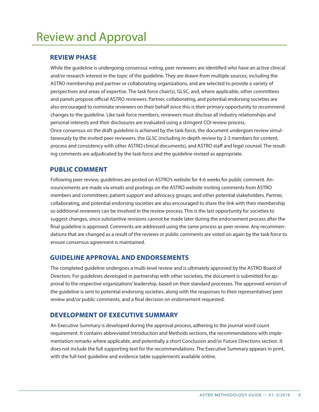# Review and Approval

### **REVIEW PHASE**

While the guideline is undergoing consensus voting, peer reviewers are identified who have an active clinical and/or research interest in the topic of the guideline. They are drawn from multiple sources, including the ASTRO membership and partner or collaborating organizations, and are selected to provide a variety of perspectives and areas of expertise. The task force chair(s), GLSC, and, where applicable, other committees and panels propose official ASTRO reviewers. Partner, collaborating, and potential endorsing societies are also encouraged to nominate reviewers on their behalf since this is their primary opportunity to recommend changes to the guideline. Like task force members, reviewers must disclose all industry relationships and personal interests and their disclosures are evaluated using a stringent COI review process. Once consensus on the draft guideline is achieved by the task force, the document undergoes review simultaneously by the invited peer reviewers, the GLSC (including in-depth review by 2-3 members for content, process and consistency with other ASTRO clinical documents), and ASTRO staff and legal counsel. The resulting comments are adjudicated by the task force and the guideline revised as appropriate.

# **PUBLIC COMMENT**

Following peer review, guidelines are posted on ASTRO's website for 4-6 weeks for public comment. Announcements are made via emails and postings on the ASTRO website inviting comments from ASTRO members and committees; patient support and advocacy groups; and other potential stakeholders. Partner, collaborating, and potential endorsing societies are also encouraged to share the link with their membership so additional reviewers can be involved in the review process. This is the last opportunity for societies to suggest changes, since substantive revisions cannot be made later during the endorsement process after the final guideline is approved. Comments are addressed using the same process as peer review. Any recommendations that are changed as a result of the reviews or public comments are voted on again by the task force to ensure consensus agreement is maintained.

## **GUIDELINE APPROVAL AND ENDORSEMENTS**

The completed guideline undergoes a multi-level review and is ultimately approved by the ASTRO Board of Directors. For guidelines developed in partnership with other societies, the document is submitted for approval to the respective organizations' leadership, based on their standard processes. The approved version of the guideline is sent to potential endorsing societies, along with the responses to their representatives' peer review and/or public comments, and a final decision on endorsement requested.

## **DEVELOPMENT OF EXECUTIVE SUMMARY**

An Executive Summary is developed during the approval process, adhering to the journal word count requirement. It contains abbreviated Introduction and Methods sections, the recommendations with implementation remarks where applicable, and potentially a short Conclusion and/or Future Directions section. It does not include the full supporting text for the recommendations. The Executive Summary appears in print, with the full-text guideline and evidence table supplements available online.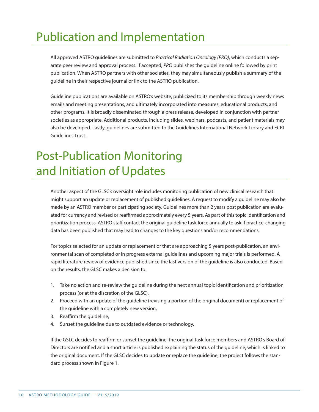# Publication and Implementation

All approved ASTRO guidelines are submitted to *Practical Radiation Oncology (PRO)*, which conducts a separate peer review and approval process. If accepted, *PRO* publishes the guideline online followed by print publication. When ASTRO partners with other societies, they may simultaneously publish a summary of the guideline in their respective journal or link to the ASTRO publication.

Guideline publications are available on ASTRO's website, publicized to its membership through weekly news emails and meeting presentations, and ultimately incorporated into measures, educational products, and other programs. It is broadly disseminated through a press release, developed in conjunction with partner societies as appropriate. Additional products, including slides, webinars, podcasts, and patient materials may also be developed. Lastly, guidelines are submitted to the Guidelines International Network Library and ECRI Guidelines Trust.

# Post-Publication Monitoring and Initiation of Updates

Another aspect of the GLSC's oversight role includes monitoring publication of new clinical research that might support an update or replacement of published guidelines. A request to modify a guideline may also be made by an ASTRO member or participating society. Guidelines more than 2 years post publication are evaluated for currency and revised or reaffirmed approximately every 5 years. As part of this topic identification and prioritization process, ASTRO staff contact the original guideline task force annually to ask if practice-changing data has been published that may lead to changes to the key questions and/or recommendations.

For topics selected for an update or replacement or that are approaching 5 years post-publication, an environmental scan of completed or in progress external guidelines and upcoming major trials is performed. A rapid literature review of evidence published since the last version of the guideline is also conducted. Based on the results, the GLSC makes a decision to:

- 1. Take no action and re-review the guideline during the next annual topic identification and prioritization process (or at the discretion of the GLSC),
- 2. Proceed with an update of the guideline (revising a portion of the original document) or replacement of the guideline with a completely new version,
- 3. Reaffirm the guideline,
- 4. Sunset the guideline due to outdated evidence or technology.

If the GSLC decides to reaffirm or sunset the guideline, the original task force members and ASTRO's Board of Directors are notified and a short article is published explaining the status of the guideline, which is linked to the original document. If the GLSC decides to update or replace the guideline, the project follows the standard process shown in Figure 1.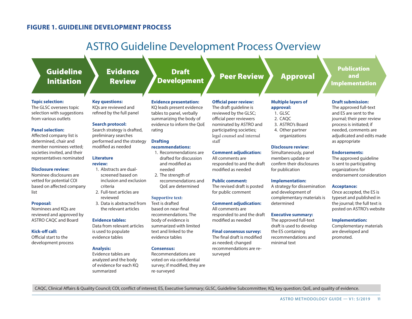# **FIGURE 1. GUIDELINE DEVELOPMENT PROCESS**

# ASTRO Guideline Development Process Overview

# Guideline Initiation

#### **Topic selection:**

The GLSC oversees topic selection with suggestions from various outlets

#### **Panel selection:**

Affected company list is determined, chair and member nominees vetted; societies invited, and their representatives nominated

#### **Disclosure review:**

Nominee disclosures are vetted for potential COI based on affected company list

#### **Proposal:**

Nominees and KQs are reviewed and approved by ASTRO CAQC and Board

#### **Kick-off call:**

Official start to the development process

# Review

Evidence

#### **Evidence presentation:**

KQs are reviewed and refined by the full panel

### **Search protocol:**

**Key questions:** 

Search strategy is drafted. preliminary searches performed and the strategy modified as needed

#### **Literature review:**

- 1. Abstracts are dualscreened based on inclusion and exclusion criteria
- 2. Full-text articles are reviewed
- 3. Data is abstracted from the relevant articles

#### **Evidence tables:**

Data from relevant articles is used to populate evidence tables

#### **Analysis:**

Evidence tables are analyzed and the body of evidence for each KQ summarized

### KQ leads present evidence tables to panel, verbally

Draft

summarizing the body of evidence to inform the QoE rating

#### **Drafting recommendations:**

- 1. Recommendations are
- drafted for discussion and modified as needed
- 2. The strength of recommendations and QoE are determined

#### **Supportive text:**

Text is drafted based on near-final recommendations. The body of evidence is summarized with limited text and linked to the evidence tables

#### **Consensus:**

Recommendations are voted on via confidential survey; if modified, they are re-surveyed

### **Official peer review:**  The draft guideline is reviewed by the GLSC;

Development Peer Review Approval

official peer reviewers nominated by ASTRO and participating societies; legal counsel and internal staff

#### **Comment adjudication:**

All comments are responded to and the draft modified as needed

#### **Comment adjudication:**

responded to and the draft modified as needed

The final draft is modified as needed; changed recommendations are resurveyed

### **Multiple layers of**

1. GLSC

#### 2. CAQC

- 3. ASTRO's Board
- 4. Other partner
- organizations

#### **Disclosure review:**

Simultaneously, panel members update or confirm their disclosures for publication

#### **Implementation:**

A strategy for dissemination and development of complementary materials is determined

#### **Executive summary:**

The approved full-text draft is used to develop the ES containing recommendations and minimal text

### Publication and Implementation

#### **Draft submission:**

The approved full-text and ES are sent to the journal; their peer review process is initiated; if needed, comments are adjudicated and edits made as appropriate

#### **Endorsements:**

The approved guideline is sent to participating organizations for endorsement consideration

#### **Acceptance:**

Once accepted, the ES is typeset and published in the journal; the full text is posted on ASTRO's website

#### **Implementation:**

Complementary materials are developed and promoted.

CAQC, Clinical Affairs & Quality Council; COI, conflict of interest; ES, Executive Summary; GLSC, Guideline Subcommittee; KQ, key question; QoE, and quality of evidence.

**approval:**

### **Public comment:**

The revised draft is posted for public comment

All comments are

**Final consensus survey:**